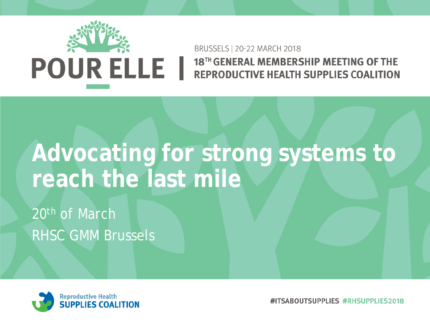

#### BRUSSELS | 20-22 MARCH 2018 18TH GENERAL MEMBERSHIP MEETING OF THE **REPRODUCTIVE HEALTH SUPPLIES COALITION**

## **Advocating for strong systems to reach the last mile**

20<sup>th</sup> of March RHSC GMM Brussels



#ITSABOUTSUPPLIES #RHSUPPLIES2018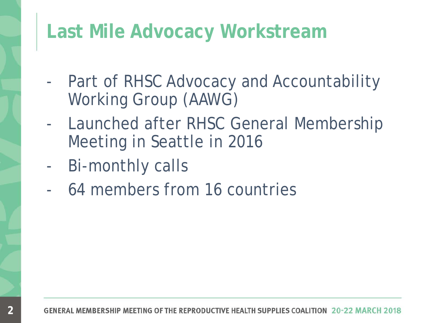#### **Last Mile Advocacy Workstream**

- Part of RHSC Advocacy and Accountability Working Group (AAWG)
- Launched after RHSC General Membership Meeting in Seattle in 2016
- Bi-monthly calls

**2**

- 64 members from 16 countries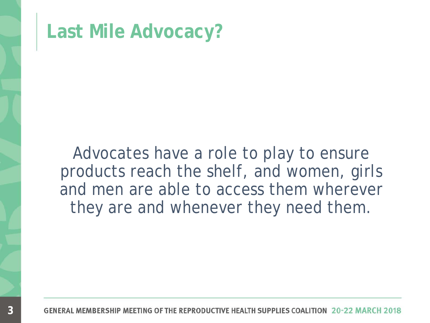

Advocates have a role to play to ensure products reach the shelf, and women, girls and men are able to access them wherever they are and whenever they need them.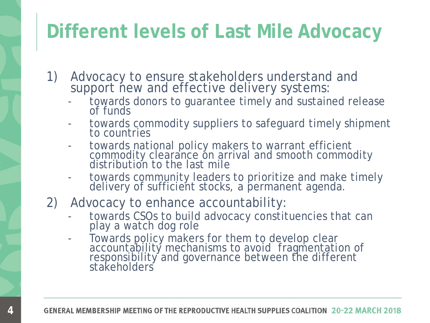### **Different levels of Last Mile Advocacy**

- 1) Advocacy to ensure stakeholders understand and
	- support new and effective delivery systems:<br>- towards donors to guarantee timely and sustained release towards donors to guarantee timely and sustained release<br>of funds
	- towards commodity suppliers to safeguard timely shipment<br>to countries
	- towards national policy makers to warrant efficient commodity clearance on arrival and smooth commodity<br>distribution to the last mile
	- towards community leaders to prioritize and make timely delivery of sufficient stocks, a permanent agenda.
- 2) Advocacy to enhance accountability:
	- towards CSOs to build advocacy constituencies that can play a watch dog role
	- Towards policy makers for them to develop clear accountability mechanisms to avoid fragmentation of responsibility and governance between the different stakeholders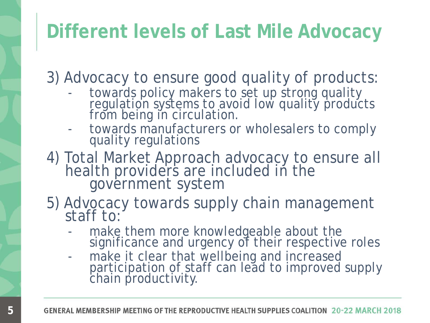### **Different levels of Last Mile Advocacy**

3) Advocacy to ensure good quality of products:

- towards policy makers to set up strong quality<br>regulation systems to avoid low quality products from being in circulation.
- towards manufacturers or wholesalers to comply<br>quality regulations
- 4) Total Market Approach advocacy to ensure all health providers are included in the<br>government system
- 5) Advocacy towards supply chain management staff to:
	- make them more knowledgeable about the significance and urgency of their respective roles
	- make it clear that wellbeing and increased participation of staff can lead to improved supply chain productivity.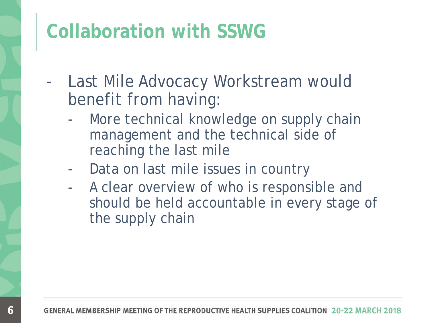#### **Collaboration with SSWG**

- Last Mile Advocacy Workstream would benefit from having:
	- More technical knowledge on supply chain management and the technical side of reaching the last mile
	- Data on last mile issues in country
	- A clear overview of who is responsible and should be held accountable in every stage of the supply chain